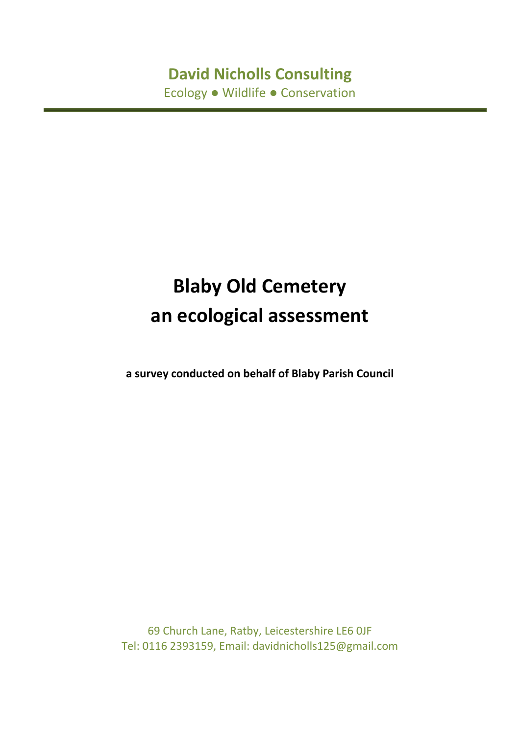# **David Nicholls Consulting** Ecology ● Wildlife ● Conservation

# **Blaby Old Cemetery an ecological assessment**

**a survey conducted on behalf of Blaby Parish Council**

69 Church Lane, Ratby, Leicestershire LE6 0JF Tel: 0116 2393159, Email: davidnicholls125@gmail.com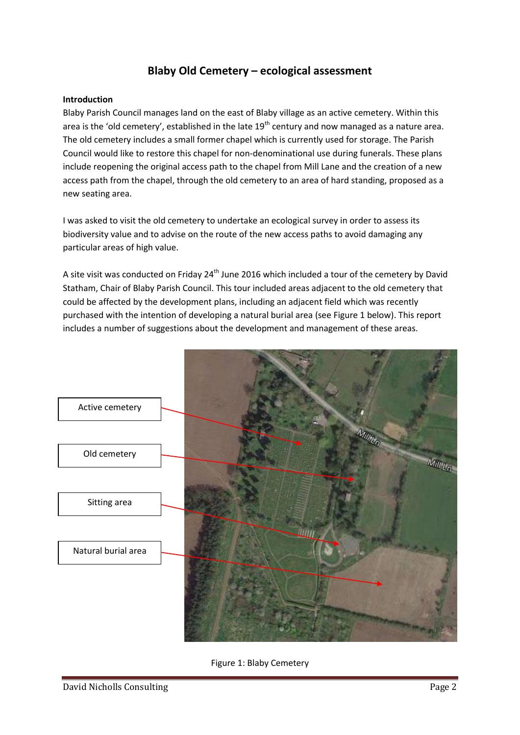### **Blaby Old Cemetery – ecological assessment**

#### **Introduction**

Blaby Parish Council manages land on the east of Blaby village as an active cemetery. Within this area is the 'old cemetery', established in the late  $19<sup>th</sup>$  century and now managed as a nature area. The old cemetery includes a small former chapel which is currently used for storage. The Parish Council would like to restore this chapel for non-denominational use during funerals. These plans include reopening the original access path to the chapel from Mill Lane and the creation of a new access path from the chapel, through the old cemetery to an area of hard standing, proposed as a new seating area.

I was asked to visit the old cemetery to undertake an ecological survey in order to assess its biodiversity value and to advise on the route of the new access paths to avoid damaging any particular areas of high value.

A site visit was conducted on Friday 24<sup>th</sup> June 2016 which included a tour of the cemetery by David Statham, Chair of Blaby Parish Council. This tour included areas adjacent to the old cemetery that could be affected by the development plans, including an adjacent field which was recently purchased with the intention of developing a natural burial area (see Figure 1 below). This report includes a number of suggestions about the development and management of these areas.



Figure 1: Blaby Cemetery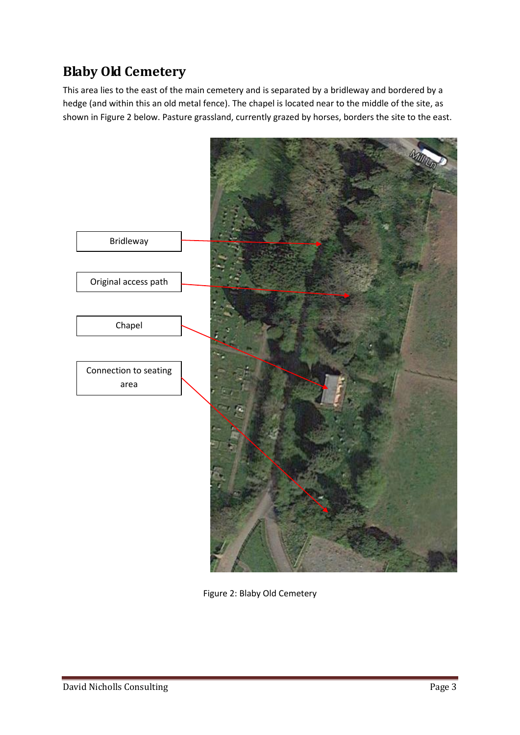# **Blaby Old Cemetery**

This area lies to the east of the main cemetery and is separated by a bridleway and bordered by a hedge (and within this an old metal fence). The chapel is located near to the middle of the site, as shown in Figure 2 below. Pasture grassland, currently grazed by horses, borders the site to the east.



Figure 2: Blaby Old Cemetery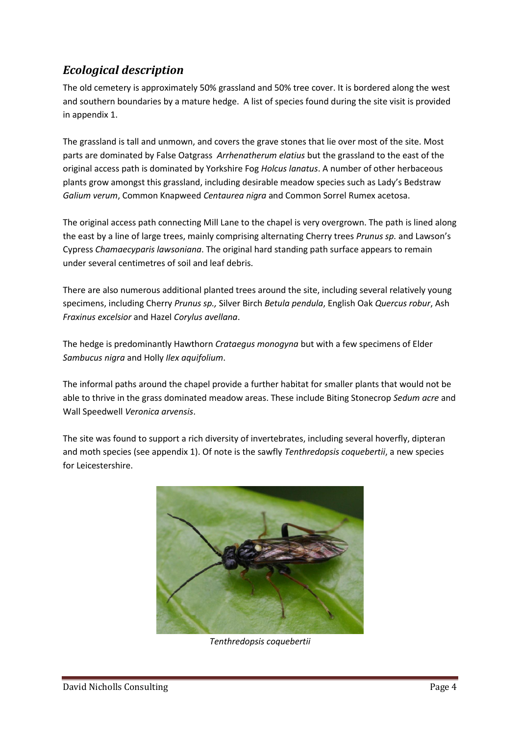### *Ecological description*

The old cemetery is approximately 50% grassland and 50% tree cover. It is bordered along the west and southern boundaries by a mature hedge. A list of species found during the site visit is provided in appendix 1.

The grassland is tall and unmown, and covers the grave stones that lie over most of the site. Most parts are dominated by False Oatgrass *Arrhenatherum elatius* but the grassland to the east of the original access path is dominated by Yorkshire Fog *Holcus lanatus*. A number of other herbaceous plants grow amongst this grassland, including desirable meadow species such as Lady's Bedstraw *Galium verum*, Common Knapweed *Centaurea nigra* and Common Sorrel Rumex acetosa.

The original access path connecting Mill Lane to the chapel is very overgrown. The path is lined along the east by a line of large trees, mainly comprising alternating Cherry trees *Prunus sp.* and Lawson's Cypress *Chamaecyparis lawsoniana*. The original hard standing path surface appears to remain under several centimetres of soil and leaf debris.

There are also numerous additional planted trees around the site, including several relatively young specimens, including Cherry *Prunus sp.,* Silver Birch *Betula pendula*, English Oak *Quercus robur*, Ash *Fraxinus excelsior* and Hazel *Corylus avellana*.

The hedge is predominantly Hawthorn *Crataegus monogyna* but with a few specimens of Elder *Sambucus nigra* and Holly *Ilex aquifolium*.

The informal paths around the chapel provide a further habitat for smaller plants that would not be able to thrive in the grass dominated meadow areas. These include Biting Stonecrop *Sedum acre* and Wall Speedwell *Veronica arvensis*.

The site was found to support a rich diversity of invertebrates, including several hoverfly, dipteran and moth species (see appendix 1). Of note is the sawfly *Tenthredopsis coquebertii*, a new species for Leicestershire.



*Tenthredopsis coquebertii*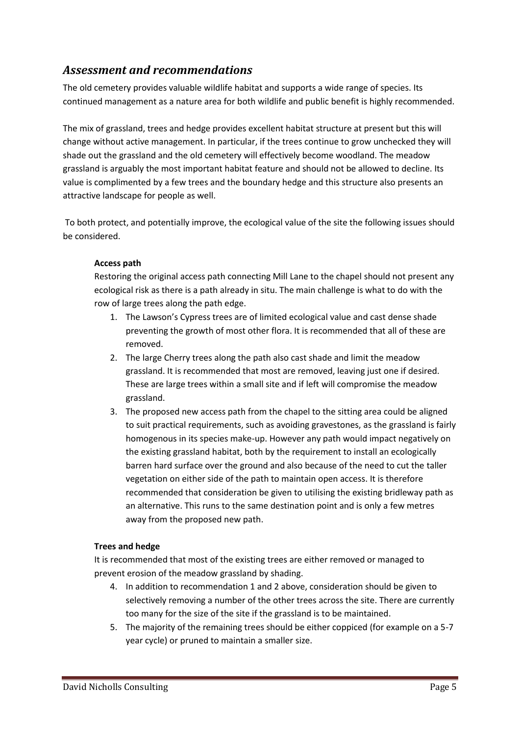### *Assessment and recommendations*

The old cemetery provides valuable wildlife habitat and supports a wide range of species. Its continued management as a nature area for both wildlife and public benefit is highly recommended.

The mix of grassland, trees and hedge provides excellent habitat structure at present but this will change without active management. In particular, if the trees continue to grow unchecked they will shade out the grassland and the old cemetery will effectively become woodland. The meadow grassland is arguably the most important habitat feature and should not be allowed to decline. Its value is complimented by a few trees and the boundary hedge and this structure also presents an attractive landscape for people as well.

To both protect, and potentially improve, the ecological value of the site the following issues should be considered.

#### **Access path**

Restoring the original access path connecting Mill Lane to the chapel should not present any ecological risk as there is a path already in situ. The main challenge is what to do with the row of large trees along the path edge.

- 1. The Lawson's Cypress trees are of limited ecological value and cast dense shade preventing the growth of most other flora. It is recommended that all of these are removed.
- 2. The large Cherry trees along the path also cast shade and limit the meadow grassland. It is recommended that most are removed, leaving just one if desired. These are large trees within a small site and if left will compromise the meadow grassland.
- 3. The proposed new access path from the chapel to the sitting area could be aligned to suit practical requirements, such as avoiding gravestones, as the grassland is fairly homogenous in its species make-up. However any path would impact negatively on the existing grassland habitat, both by the requirement to install an ecologically barren hard surface over the ground and also because of the need to cut the taller vegetation on either side of the path to maintain open access. It is therefore recommended that consideration be given to utilising the existing bridleway path as an alternative. This runs to the same destination point and is only a few metres away from the proposed new path.

#### **Trees and hedge**

It is recommended that most of the existing trees are either removed or managed to prevent erosion of the meadow grassland by shading.

- 4. In addition to recommendation 1 and 2 above, consideration should be given to selectively removing a number of the other trees across the site. There are currently too many for the size of the site if the grassland is to be maintained.
- 5. The majority of the remaining trees should be either coppiced (for example on a 5-7 year cycle) or pruned to maintain a smaller size.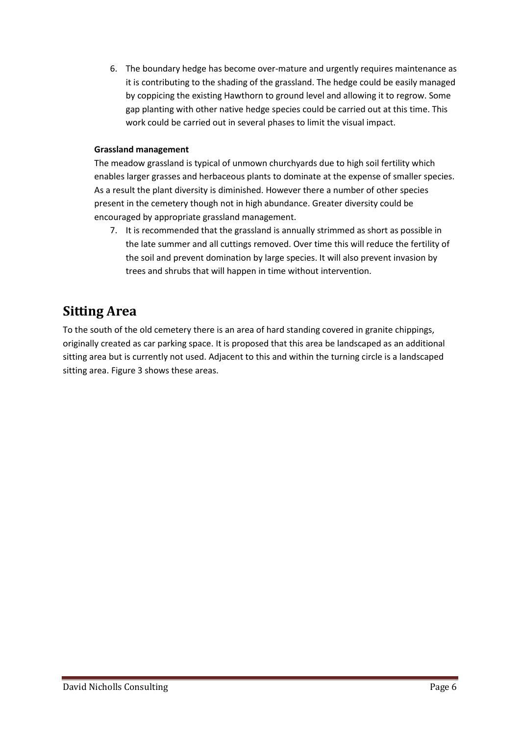6. The boundary hedge has become over-mature and urgently requires maintenance as it is contributing to the shading of the grassland. The hedge could be easily managed by coppicing the existing Hawthorn to ground level and allowing it to regrow. Some gap planting with other native hedge species could be carried out at this time. This work could be carried out in several phases to limit the visual impact.

#### **Grassland management**

The meadow grassland is typical of unmown churchyards due to high soil fertility which enables larger grasses and herbaceous plants to dominate at the expense of smaller species. As a result the plant diversity is diminished. However there a number of other species present in the cemetery though not in high abundance. Greater diversity could be encouraged by appropriate grassland management.

7. It is recommended that the grassland is annually strimmed as short as possible in the late summer and all cuttings removed. Over time this will reduce the fertility of the soil and prevent domination by large species. It will also prevent invasion by trees and shrubs that will happen in time without intervention.

### **Sitting Area**

To the south of the old cemetery there is an area of hard standing covered in granite chippings, originally created as car parking space. It is proposed that this area be landscaped as an additional sitting area but is currently not used. Adjacent to this and within the turning circle is a landscaped sitting area. Figure 3 shows these areas.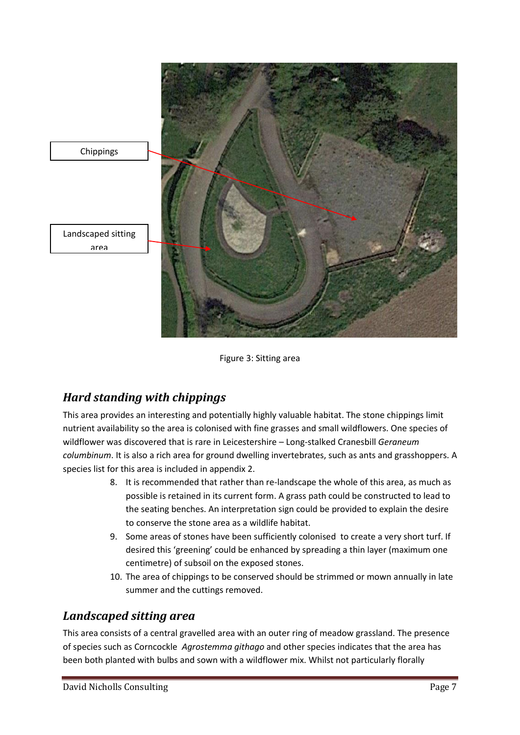

Figure 3: Sitting area

### *Hard standing with chippings*

This area provides an interesting and potentially highly valuable habitat. The stone chippings limit nutrient availability so the area is colonised with fine grasses and small wildflowers. One species of wildflower was discovered that is rare in Leicestershire – Long-stalked Cranesbill *Geraneum columbinum*. It is also a rich area for ground dwelling invertebrates, such as ants and grasshoppers. A species list for this area is included in appendix 2.

- 8. It is recommended that rather than re-landscape the whole of this area, as much as possible is retained in its current form. A grass path could be constructed to lead to the seating benches. An interpretation sign could be provided to explain the desire to conserve the stone area as a wildlife habitat.
- 9. Some areas of stones have been sufficiently colonised to create a very short turf. If desired this 'greening' could be enhanced by spreading a thin layer (maximum one centimetre) of subsoil on the exposed stones.
- 10. The area of chippings to be conserved should be strimmed or mown annually in late summer and the cuttings removed.

### *Landscaped sitting area*

This area consists of a central gravelled area with an outer ring of meadow grassland. The presence of species such as Corncockle *Agrostemma githago* and other species indicates that the area has been both planted with bulbs and sown with a wildflower mix. Whilst not particularly florally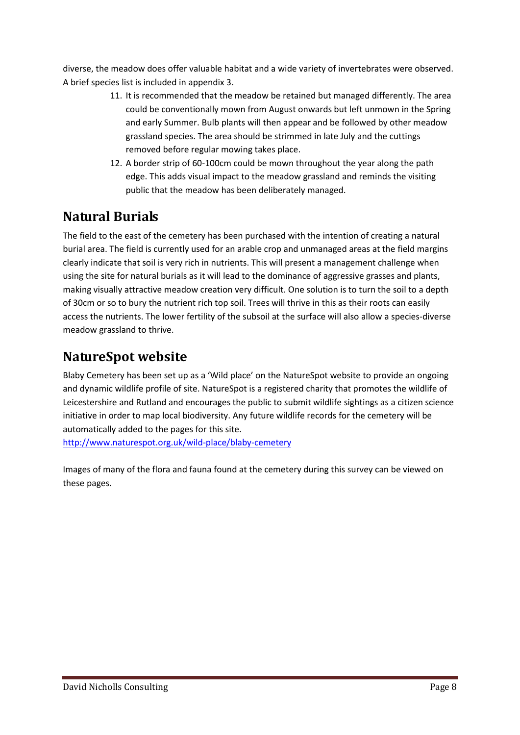diverse, the meadow does offer valuable habitat and a wide variety of invertebrates were observed. A brief species list is included in appendix 3.

- 11. It is recommended that the meadow be retained but managed differently. The area could be conventionally mown from August onwards but left unmown in the Spring and early Summer. Bulb plants will then appear and be followed by other meadow grassland species. The area should be strimmed in late July and the cuttings removed before regular mowing takes place.
- 12. A border strip of 60-100cm could be mown throughout the year along the path edge. This adds visual impact to the meadow grassland and reminds the visiting public that the meadow has been deliberately managed.

### **Natural Burials**

The field to the east of the cemetery has been purchased with the intention of creating a natural burial area. The field is currently used for an arable crop and unmanaged areas at the field margins clearly indicate that soil is very rich in nutrients. This will present a management challenge when using the site for natural burials as it will lead to the dominance of aggressive grasses and plants, making visually attractive meadow creation very difficult. One solution is to turn the soil to a depth of 30cm or so to bury the nutrient rich top soil. Trees will thrive in this as their roots can easily access the nutrients. The lower fertility of the subsoil at the surface will also allow a species-diverse meadow grassland to thrive.

### **NatureSpot website**

Blaby Cemetery has been set up as a 'Wild place' on the NatureSpot website to provide an ongoing and dynamic wildlife profile of site. NatureSpot is a registered charity that promotes the wildlife of Leicestershire and Rutland and encourages the public to submit wildlife sightings as a citizen science initiative in order to map local biodiversity. Any future wildlife records for the cemetery will be automatically added to the pages for this site.

<http://www.naturespot.org.uk/wild-place/blaby-cemetery>

Images of many of the flora and fauna found at the cemetery during this survey can be viewed on these pages.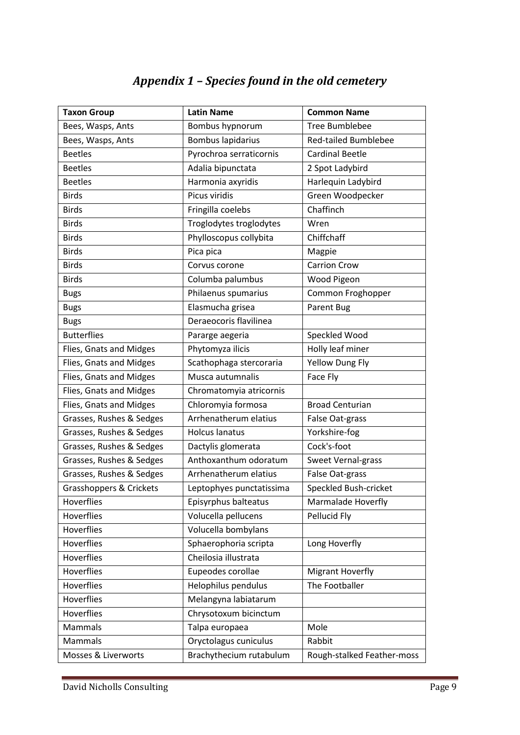# *Appendix 1 – Species found in the old cemetery*

| <b>Taxon Group</b>       | <b>Latin Name</b>        | <b>Common Name</b>          |
|--------------------------|--------------------------|-----------------------------|
| Bees, Wasps, Ants        | Bombus hypnorum          | <b>Tree Bumblebee</b>       |
| Bees, Wasps, Ants        | Bombus lapidarius        | <b>Red-tailed Bumblebee</b> |
| <b>Beetles</b>           | Pyrochroa serraticornis  | <b>Cardinal Beetle</b>      |
| <b>Beetles</b>           | Adalia bipunctata        | 2 Spot Ladybird             |
| <b>Beetles</b>           | Harmonia axyridis        | Harlequin Ladybird          |
| <b>Birds</b>             | Picus viridis            | Green Woodpecker            |
| <b>Birds</b>             | Fringilla coelebs        | Chaffinch                   |
| <b>Birds</b>             | Troglodytes troglodytes  | Wren                        |
| <b>Birds</b>             | Phylloscopus collybita   | Chiffchaff                  |
| <b>Birds</b>             | Pica pica                | Magpie                      |
| <b>Birds</b>             | Corvus corone            | <b>Carrion Crow</b>         |
| <b>Birds</b>             | Columba palumbus         | Wood Pigeon                 |
| <b>Bugs</b>              | Philaenus spumarius      | Common Froghopper           |
| <b>Bugs</b>              | Elasmucha grisea         | Parent Bug                  |
| <b>Bugs</b>              | Deraeocoris flavilinea   |                             |
| <b>Butterflies</b>       | Pararge aegeria          | Speckled Wood               |
| Flies, Gnats and Midges  | Phytomyza ilicis         | Holly leaf miner            |
| Flies, Gnats and Midges  | Scathophaga stercoraria  | <b>Yellow Dung Fly</b>      |
| Flies, Gnats and Midges  | Musca autumnalis         | Face Fly                    |
| Flies, Gnats and Midges  | Chromatomyia atricornis  |                             |
| Flies, Gnats and Midges  | Chloromyia formosa       | <b>Broad Centurian</b>      |
| Grasses, Rushes & Sedges | Arrhenatherum elatius    | False Oat-grass             |
| Grasses, Rushes & Sedges | <b>Holcus lanatus</b>    | Yorkshire-fog               |
| Grasses, Rushes & Sedges | Dactylis glomerata       | Cock's-foot                 |
| Grasses, Rushes & Sedges | Anthoxanthum odoratum    | Sweet Vernal-grass          |
| Grasses, Rushes & Sedges | Arrhenatherum elatius    | False Oat-grass             |
| Grasshoppers & Crickets  | Leptophyes punctatissima | Speckled Bush-cricket       |
| Hoverflies               | Episyrphus balteatus     | Marmalade Hoverfly          |
| Hoverflies               | Volucella pellucens      | Pellucid Fly                |
| Hoverflies               | Volucella bombylans      |                             |
| Hoverflies               | Sphaerophoria scripta    | Long Hoverfly               |
| Hoverflies               | Cheilosia illustrata     |                             |
| Hoverflies               | Eupeodes corollae        | <b>Migrant Hoverfly</b>     |
| Hoverflies               | Helophilus pendulus      | The Footballer              |
| Hoverflies               | Melangyna labiatarum     |                             |
| Hoverflies               | Chrysotoxum bicinctum    |                             |
| Mammals                  | Talpa europaea           | Mole                        |
| Mammals                  | Oryctolagus cuniculus    | Rabbit                      |
| Mosses & Liverworts      | Brachythecium rutabulum  | Rough-stalked Feather-moss  |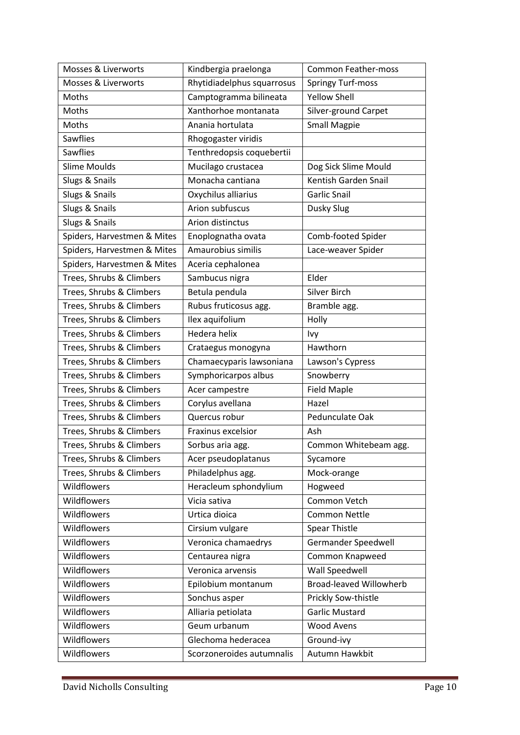| Mosses & Liverworts            | Kindbergia praelonga       | <b>Common Feather-moss</b>     |
|--------------------------------|----------------------------|--------------------------------|
| <b>Mosses &amp; Liverworts</b> | Rhytidiadelphus squarrosus | <b>Springy Turf-moss</b>       |
| Moths                          | Camptogramma bilineata     | <b>Yellow Shell</b>            |
| Moths                          | Xanthorhoe montanata       | Silver-ground Carpet           |
| Moths                          | Anania hortulata           | <b>Small Magpie</b>            |
| <b>Sawflies</b>                | Rhogogaster viridis        |                                |
| Sawflies                       | Tenthredopsis coquebertii  |                                |
| <b>Slime Moulds</b>            | Mucilago crustacea         | Dog Sick Slime Mould           |
| Slugs & Snails                 | Monacha cantiana           | Kentish Garden Snail           |
| Slugs & Snails                 | Oxychilus alliarius        | <b>Garlic Snail</b>            |
| Slugs & Snails                 | Arion subfuscus            | Dusky Slug                     |
| Slugs & Snails                 | Arion distinctus           |                                |
| Spiders, Harvestmen & Mites    | Enoplognatha ovata         | Comb-footed Spider             |
| Spiders, Harvestmen & Mites    | Amaurobius similis         | Lace-weaver Spider             |
| Spiders, Harvestmen & Mites    | Aceria cephalonea          |                                |
| Trees, Shrubs & Climbers       | Sambucus nigra             | Elder                          |
| Trees, Shrubs & Climbers       | Betula pendula             | Silver Birch                   |
| Trees, Shrubs & Climbers       | Rubus fruticosus agg.      | Bramble agg.                   |
| Trees, Shrubs & Climbers       | Ilex aquifolium            | Holly                          |
| Trees, Shrubs & Climbers       | Hedera helix               | Ivy                            |
| Trees, Shrubs & Climbers       | Crataegus monogyna         | Hawthorn                       |
| Trees, Shrubs & Climbers       | Chamaecyparis lawsoniana   | Lawson's Cypress               |
| Trees, Shrubs & Climbers       | Symphoricarpos albus       | Snowberry                      |
| Trees, Shrubs & Climbers       | Acer campestre             | <b>Field Maple</b>             |
| Trees, Shrubs & Climbers       | Corylus avellana           | Hazel                          |
| Trees, Shrubs & Climbers       | Quercus robur              | Pedunculate Oak                |
| Trees, Shrubs & Climbers       | Fraxinus excelsior         | Ash                            |
| Trees, Shrubs & Climbers       | Sorbus aria agg.           | Common Whitebeam agg.          |
| Trees, Shrubs & Climbers       | Acer pseudoplatanus        | Sycamore                       |
| Trees, Shrubs & Climbers       | Philadelphus agg.          | Mock-orange                    |
| Wildflowers                    | Heracleum sphondylium      | Hogweed                        |
| Wildflowers                    | Vicia sativa               | Common Vetch                   |
| Wildflowers                    | Urtica dioica              | <b>Common Nettle</b>           |
| Wildflowers                    | Cirsium vulgare            | <b>Spear Thistle</b>           |
| Wildflowers                    | Veronica chamaedrys        | Germander Speedwell            |
| Wildflowers                    | Centaurea nigra            | Common Knapweed                |
| Wildflowers                    | Veronica arvensis          | Wall Speedwell                 |
| Wildflowers                    | Epilobium montanum         | <b>Broad-leaved Willowherb</b> |
| Wildflowers                    | Sonchus asper              | Prickly Sow-thistle            |
| Wildflowers                    | Alliaria petiolata         | <b>Garlic Mustard</b>          |
| Wildflowers                    | Geum urbanum               | <b>Wood Avens</b>              |
| Wildflowers                    | Glechoma hederacea         | Ground-ivy                     |
| Wildflowers                    | Scorzoneroides autumnalis  | Autumn Hawkbit                 |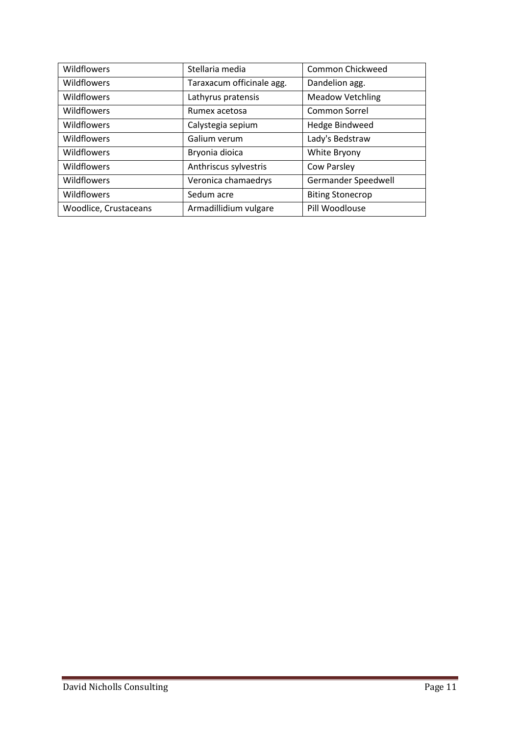| Wildflowers           | Stellaria media           | Common Chickweed        |
|-----------------------|---------------------------|-------------------------|
| Wildflowers           | Taraxacum officinale agg. | Dandelion agg.          |
| Wildflowers           | Lathyrus pratensis        | <b>Meadow Vetchling</b> |
| Wildflowers           | Rumex acetosa             | Common Sorrel           |
| Wildflowers           | Calystegia sepium         | Hedge Bindweed          |
| Wildflowers           | Galium verum              | Lady's Bedstraw         |
| Wildflowers           | Bryonia dioica            | White Bryony            |
| Wildflowers           | Anthriscus sylvestris     | Cow Parsley             |
| Wildflowers           | Veronica chamaedrys       | Germander Speedwell     |
| Wildflowers           | Sedum acre                | <b>Biting Stonecrop</b> |
| Woodlice, Crustaceans | Armadillidium vulgare     | Pill Woodlouse          |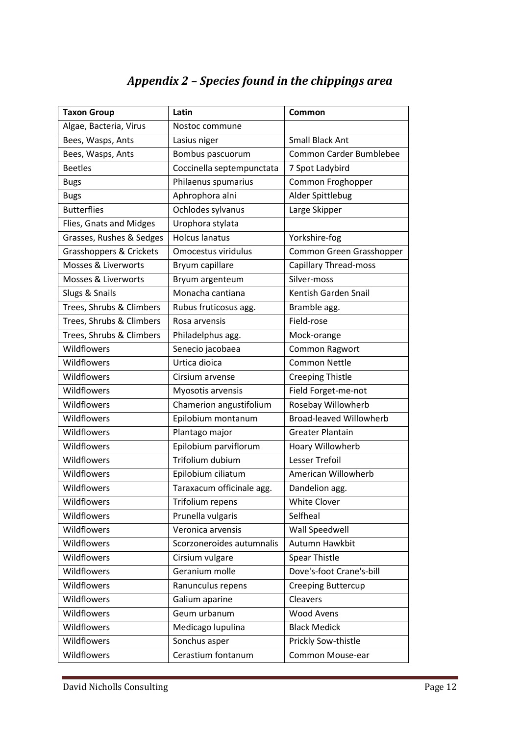# *Appendix 2 – Species found in the chippings area*

| <b>Taxon Group</b>             | Latin                     | Common                         |
|--------------------------------|---------------------------|--------------------------------|
| Algae, Bacteria, Virus         | Nostoc commune            |                                |
| Bees, Wasps, Ants              | Lasius niger              | <b>Small Black Ant</b>         |
| Bees, Wasps, Ants              | Bombus pascuorum          | Common Carder Bumblebee        |
| <b>Beetles</b>                 | Coccinella septempunctata | 7 Spot Ladybird                |
| <b>Bugs</b>                    | Philaenus spumarius       | Common Froghopper              |
| <b>Bugs</b>                    | Aphrophora alni           | Alder Spittlebug               |
| <b>Butterflies</b>             | Ochlodes sylvanus         | Large Skipper                  |
| Flies, Gnats and Midges        | Urophora stylata          |                                |
| Grasses, Rushes & Sedges       | <b>Holcus lanatus</b>     | Yorkshire-fog                  |
| Grasshoppers & Crickets        | Omocestus viridulus       | Common Green Grasshopper       |
| <b>Mosses &amp; Liverworts</b> | Bryum capillare           | <b>Capillary Thread-moss</b>   |
| Mosses & Liverworts            | Bryum argenteum           | Silver-moss                    |
| Slugs & Snails                 | Monacha cantiana          | Kentish Garden Snail           |
| Trees, Shrubs & Climbers       | Rubus fruticosus agg.     | Bramble agg.                   |
| Trees, Shrubs & Climbers       | Rosa arvensis             | Field-rose                     |
| Trees, Shrubs & Climbers       | Philadelphus agg.         | Mock-orange                    |
| Wildflowers                    | Senecio jacobaea          | Common Ragwort                 |
| Wildflowers                    | Urtica dioica             | <b>Common Nettle</b>           |
| Wildflowers                    | Cirsium arvense           | <b>Creeping Thistle</b>        |
| Wildflowers                    | Myosotis arvensis         | Field Forget-me-not            |
| Wildflowers                    | Chamerion angustifolium   | Rosebay Willowherb             |
| Wildflowers                    | Epilobium montanum        | <b>Broad-leaved Willowherb</b> |
| Wildflowers                    | Plantago major            | <b>Greater Plantain</b>        |
| Wildflowers                    | Epilobium parviflorum     | Hoary Willowherb               |
| Wildflowers                    | Trifolium dubium          | Lesser Trefoil                 |
| Wildflowers                    | Epilobium ciliatum        | American Willowherb            |
| Wildflowers                    | Taraxacum officinale agg. | Dandelion agg.                 |
| Wildflowers                    | Trifolium repens          | <b>White Clover</b>            |
| Wildflowers                    | Prunella vulgaris         | Selfheal                       |
| Wildflowers                    | Veronica arvensis         | Wall Speedwell                 |
| Wildflowers                    | Scorzoneroides autumnalis | Autumn Hawkbit                 |
| Wildflowers                    | Cirsium vulgare           | <b>Spear Thistle</b>           |
| Wildflowers                    | Geranium molle            | Dove's-foot Crane's-bill       |
| Wildflowers                    | Ranunculus repens         | Creeping Buttercup             |
| Wildflowers                    | Galium aparine            | Cleavers                       |
| Wildflowers                    | Geum urbanum              | <b>Wood Avens</b>              |
| Wildflowers                    | Medicago lupulina         | <b>Black Medick</b>            |
| Wildflowers                    | Sonchus asper             | Prickly Sow-thistle            |
| Wildflowers                    | Cerastium fontanum        | Common Mouse-ear               |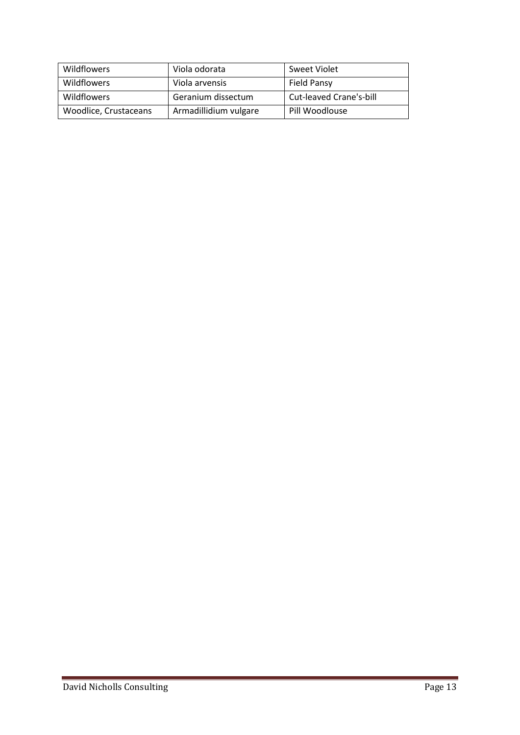| Wildflowers           | Viola odorata         | Sweet Violet            |
|-----------------------|-----------------------|-------------------------|
| Wildflowers           | Viola arvensis        | Field Pansy             |
| <b>Wildflowers</b>    | Geranium dissectum    | Cut-leaved Crane's-bill |
| Woodlice, Crustaceans | Armadillidium vulgare | Pill Woodlouse          |